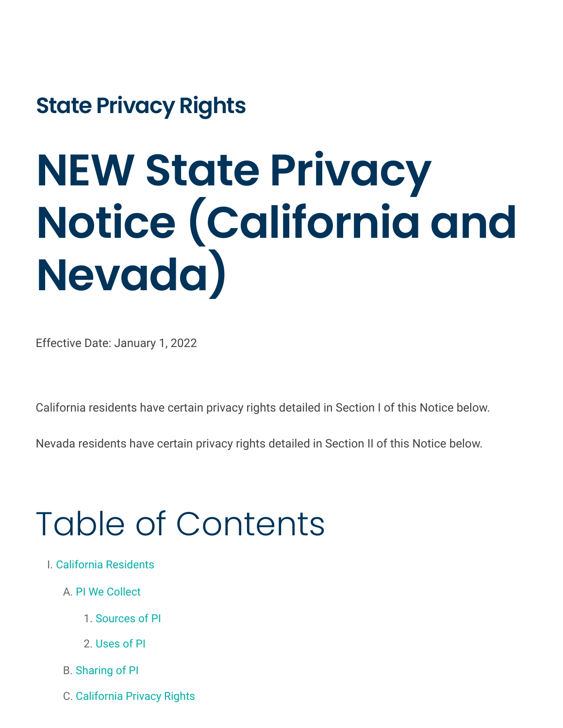**State Privacy Rights**

# **NEW State Privacy Notice (California and Nevada)**

Effective Date: January 1, 2022

California residents have certain privacy rights detailed in Section I of this Notice below.

Nevada residents have certain privacy rights detailed in Section II of this Notice below.

# Table of Contents

- I. [California Residents](#page-1-0)
	- A. [PI We Collect](#page-2-0)
		- 1. [Sources of PI](#page-4-0)
		- 2. [Uses of PI](#page-4-1)
	- B. [Sharing of PI](#page-6-0)
	- C. [California Privacy Rights](#page-9-0)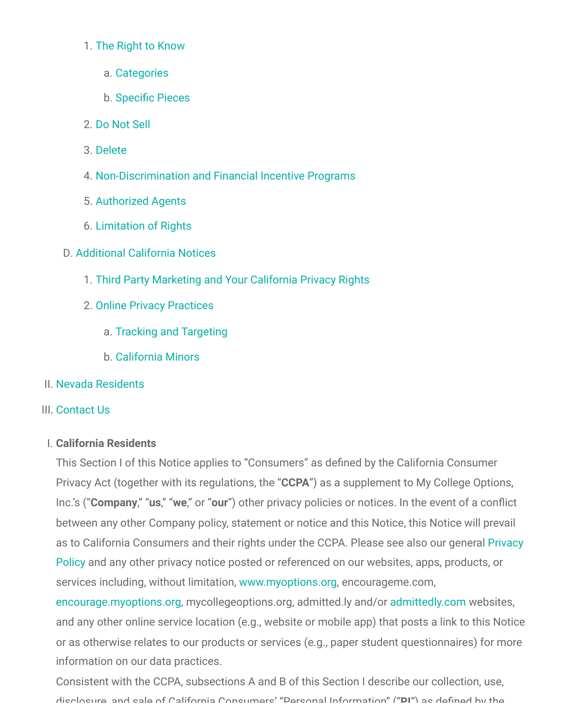#### 1. [The Right to Know](#page-10-0)

- a. [Categories](#page-10-1)
- b. [Specific Pieces](#page-11-0)
- 2. [Do Not Sell](#page-11-1)
- 3. [Delete](#page-13-0)
- 4. [Non-Discrimination and Financial Incentive Programs](#page-14-0)
- 5. [Authorized Agents](#page-15-0)
- 6. [Limitation of Rights](#page-15-1)
- D. [Additional California Notices](#page-15-2)
	- 1. [Third Party Marketing and Your California Privacy Rights](#page-15-3)
	- 2. [Online Privacy Practices](#page-16-0)
		- a. [Tracking and Targeting](#page-16-1)
		- b. [California Minors](#page-16-2)
- II. [Nevada Residents](#page-16-3)
- III. [Contact Us](#page-17-0)

# <span id="page-1-0"></span>I. **California Residents**

This Section I of this Notice applies to "Consumers" as defined by the California Consumer Privacy Act (together with its regulations, the "**CCPA**") as a supplement to My College Options, Inc.'s ("**Company**," "**us**," "**we**," or "**our**") other privacy policies or notices. In the event of a conflict between any other Company policy, statement or notice and this Notice, this Notice will prevail [as to California Consumers and their rights under the CCPA. Please see also our general Privacy](https://encourageme.com/privacy-policy/) Policy and any other privacy notice posted or referenced on our websites, apps, products, or services including, without limitation, [www.myoptions.org,](http://www.myoptions.org/) encourageme.com,

[encourage.myoptions.org](http://encourage.myoptions.org/), mycollegeoptions.org, admitted.ly and/o[r admittedly.com](http://admittedly.com/) websites, and any other online service location (e.g., website or mobile app) that posts a link to this Notice or as otherwise relates to our products or services (e.g., paper student questionnaires) for more information on our data practices.

Consistent with the CCPA, subsections A and B of this Section I describe our collection, use, disclosure and sale of California Consumers' "Personal Information" ("**PI**") as defined by the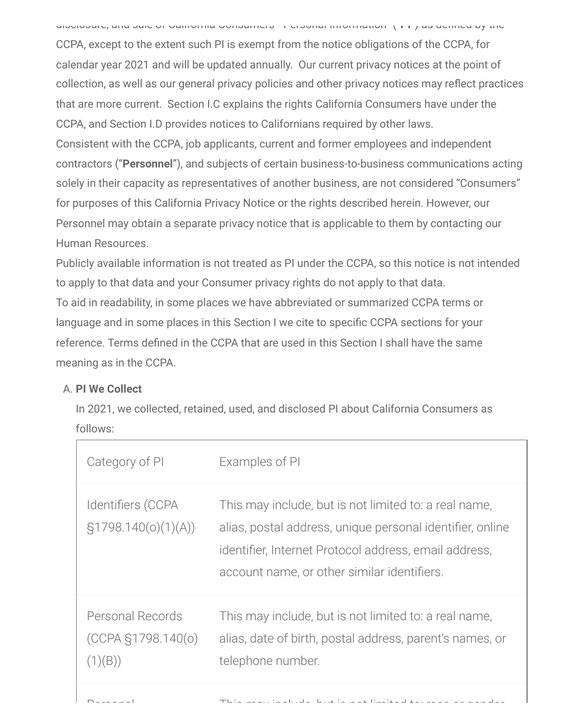disclosure, and sale of California Consumers Personal Information ( **PI** ) as defined by the

CCPA, except to the extent such PI is exempt from the notice obligations of the CCPA, for calendar year 2021 and will be updated annually. Our current privacy notices at the point of collection, as well as our general privacy policies and other privacy notices may reflect practices that are more current. Section I.C explains the rights California Consumers have under the CCPA, and Section I.D provides notices to Californians required by other laws. Consistent with the CCPA, job applicants, current and former employees and independent contractors ("**Personnel**"), and subjects of certain business-to-business communications acting solely in their capacity as representatives of another business, are not considered "Consumers" for purposes of this California Privacy Notice or the rights described herein. However, our Personnel may obtain a separate privacy notice that is applicable to them by contacting our Human Resources.

Publicly available information is not treated as PI under the CCPA, so this notice is not intended to apply to that data and your Consumer privacy rights do not apply to that data. To aid in readability, in some places we have abbreviated or summarized CCPA terms or language and in some places in this Section I we cite to specific CCPA sections for your reference. Terms defined in the CCPA that are used in this Section I shall have the same meaning as in the CCPA.

# <span id="page-2-0"></span>A. **PI We Collect**

In 2021, we collected, retained, used, and disclosed PI about California Consumers as follows:

| Category of PI                                        | Examples of PI                                                                                                                                                                                                             |
|-------------------------------------------------------|----------------------------------------------------------------------------------------------------------------------------------------------------------------------------------------------------------------------------|
| Identifiers (CCPA<br>$\S1798.140(o)(1)(A))$           | This may include, but is not limited to: a real name,<br>alias, postal address, unique personal identifier, online<br>identifier, Internet Protocol address, email address,<br>account name, or other similar identifiers. |
| Personal Records<br>$(CCPA \S1798.140(0))$<br>(1)(B)) | This may include, but is not limited to: a real name,<br>alias, date of birth, postal address, parent's names, or<br>telephone number.                                                                                     |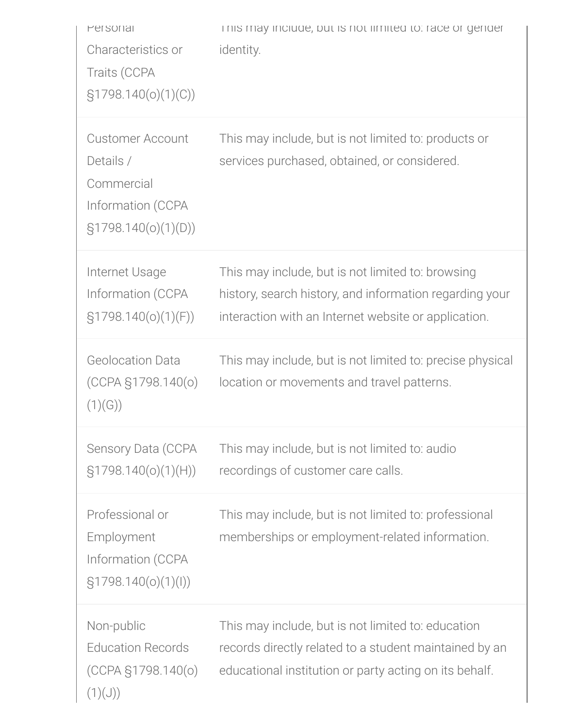| Personal<br>Characteristics or<br>Traits (CCPA<br>$\S1798.140(o)(1)(C))$                          | I his may include, but is not limited to: race or gender<br>identity.                                                                                                  |
|---------------------------------------------------------------------------------------------------|------------------------------------------------------------------------------------------------------------------------------------------------------------------------|
| <b>Customer Account</b><br>Details /<br>Commercial<br>Information (CCPA<br>$\S1798.140(o)(1)(D))$ | This may include, but is not limited to: products or<br>services purchased, obtained, or considered.                                                                   |
| Internet Usage<br>Information (CCPA<br>$\S1798.140(o)(1)(F))$                                     | This may include, but is not limited to: browsing<br>history, search history, and information regarding your<br>interaction with an Internet website or application.   |
| <b>Geolocation Data</b><br>$(CCPA \S1798.140(o)$<br>(1)(G))                                       | This may include, but is not limited to: precise physical<br>location or movements and travel patterns.                                                                |
| Sensory Data (CCPA<br>$\S1798.140(o)(1)(H))$                                                      | This may include, but is not limited to: audio<br>recordings of customer care calls.                                                                                   |
| Professional or<br>Employment<br>Information (CCPA<br>$\S1798.140(o)(1)(I))$                      | This may include, but is not limited to: professional<br>memberships or employment-related information.                                                                |
| Non-public<br><b>Education Records</b><br>$(CCPA \S1798.140(o)$<br>(1)(J))                        | This may include, but is not limited to: education<br>records directly related to a student maintained by an<br>educational institution or party acting on its behalf. |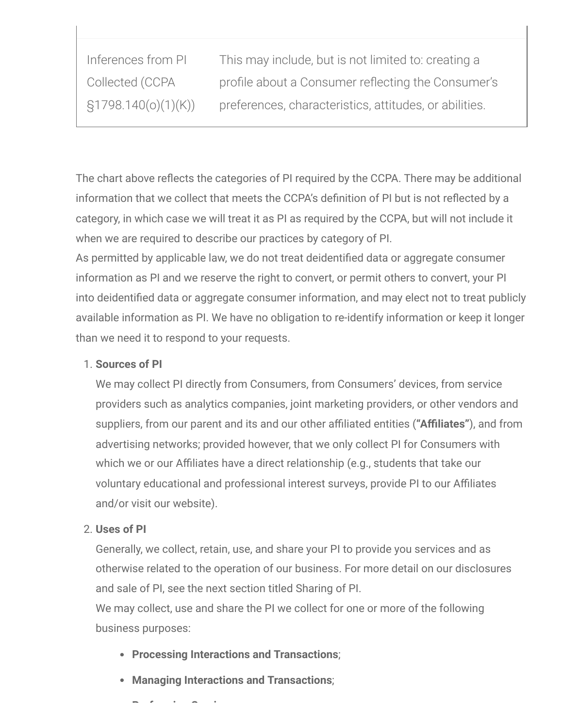| Inferences from PI     | This may include, but is not limited to: creating a    |
|------------------------|--------------------------------------------------------|
| Collected (CCPA        | profile about a Consumer reflecting the Consumer's     |
| $\S1798.140(o)(1)(K))$ | preferences, characteristics, attitudes, or abilities. |

The chart above reflects the categories of PI required by the CCPA. There may be additional information that we collect that meets the CCPA's definition of PI but is not reflected by a category, in which case we will treat it as PI as required by the CCPA, but will not include it when we are required to describe our practices by category of PI.

As permitted by applicable law, we do not treat deidentified data or aggregate consumer information as PI and we reserve the right to convert, or permit others to convert, your PI into deidentified data or aggregate consumer information, and may elect not to treat publicly available information as PI. We have no obligation to re-identify information or keep it longer than we need it to respond to your requests.

# <span id="page-4-0"></span>1. **Sources of PI**

We may collect PI directly from Consumers, from Consumers' devices, from service providers such as analytics companies, joint marketing providers, or other vendors and suppliers, from our parent and its and our other affiliated entities (**"Affiliates"**), and from advertising networks; provided however, that we only collect PI for Consumers with which we or our Affiliates have a direct relationship (e.g., students that take our voluntary educational and professional interest surveys, provide PI to our Affiliates and/or visit our website).

# <span id="page-4-1"></span>2. **Uses of PI**

Generally, we collect, retain, use, and share your PI to provide you services and as otherwise related to the operation of our business. For more detail on our disclosures and sale of PI, see the next section titled Sharing of PI.

We may collect, use and share the PI we collect for one or more of the following business purposes:

- **Processing Interactions and Transactions**;
- **Managing Interactions and Transactions**;

**P f i S i**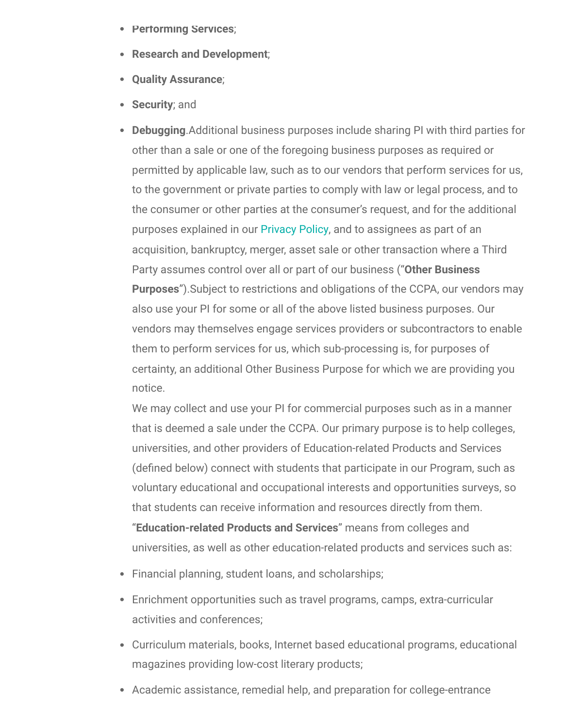- **Performing Services**;
- **Research and Development**;
- **Quality Assurance**;
- **Security**; and
- **Debugging**.Additional business purposes include sharing PI with third parties for other than a sale or one of the foregoing business purposes as required or permitted by applicable law, such as to our vendors that perform services for us, to the government or private parties to comply with law or legal process, and to the consumer or other parties at the consumer's request, and for the additional purposes explained in our [Privacy Policy,](https://encourageme.com/privacy-policy/) and to assignees as part of an acquisition, bankruptcy, merger, asset sale or other transaction where a Third Party assumes control over all or part of our business ("**Other Business Purposes**").Subject to restrictions and obligations of the CCPA, our vendors may also use your PI for some or all of the above listed business purposes. Our vendors may themselves engage services providers or subcontractors to enable them to perform services for us, which sub-processing is, for purposes of certainty, an additional Other Business Purpose for which we are providing you notice.

We may collect and use your PI for commercial purposes such as in a manner that is deemed a sale under the CCPA. Our primary purpose is to help colleges, universities, and other providers of Education-related Products and Services (defined below) connect with students that participate in our Program, such as voluntary educational and occupational interests and opportunities surveys, so that students can receive information and resources directly from them. "**Education-related Products and Services**" means from colleges and universities, as well as other education-related products and services such as:

- Financial planning, student loans, and scholarships;
- Enrichment opportunities such as travel programs, camps, extra-curricular activities and conferences;
- Curriculum materials, books, Internet based educational programs, educational magazines providing low-cost literary products;
- Academic assistance, remedial help, and preparation for college-entrance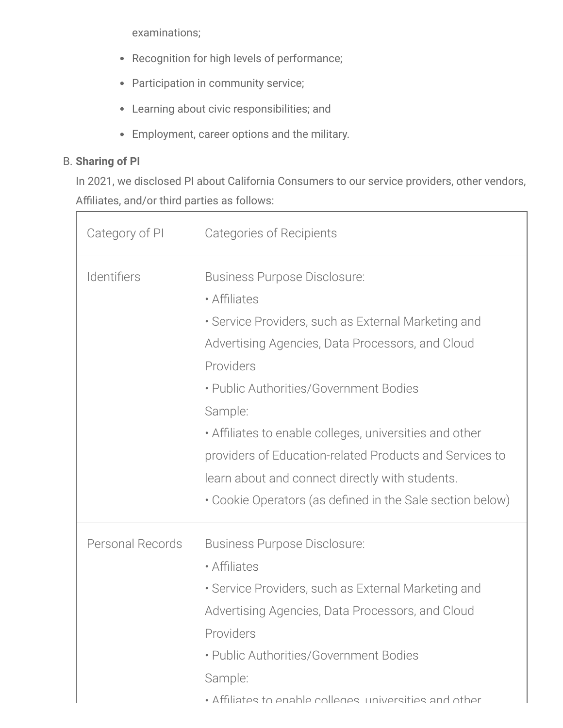examinations;

- Recognition for high levels of performance;
- Participation in community service;
- Learning about civic responsibilities; and
- Employment, career options and the military.

# <span id="page-6-0"></span>B. **Sharing of PI**

In 2021, we disclosed PI about California Consumers to our service providers, other vendors, Affiliates, and/or third parties as follows:

| Category of PI   | Categories of Recipients                                                                                                                                                                                                                                                                                                                                                                                  |
|------------------|-----------------------------------------------------------------------------------------------------------------------------------------------------------------------------------------------------------------------------------------------------------------------------------------------------------------------------------------------------------------------------------------------------------|
| Identifiers      | <b>Business Purpose Disclosure:</b><br>• Affiliates<br>• Service Providers, such as External Marketing and<br>Advertising Agencies, Data Processors, and Cloud<br>Providers<br>• Public Authorities/Government Bodies<br>Sample:<br>• Affiliates to enable colleges, universities and other<br>providers of Education-related Products and Services to<br>learn about and connect directly with students. |
|                  | • Cookie Operators (as defined in the Sale section below)                                                                                                                                                                                                                                                                                                                                                 |
| Personal Records | Business Purpose Disclosure:<br>• Affiliates<br>• Service Providers, such as External Marketing and<br>Advertising Agencies, Data Processors, and Cloud<br>Providers<br>• Public Authorities/Government Bodies<br>Sample:<br>• Affiliates to enable colleges universities and other                                                                                                                       |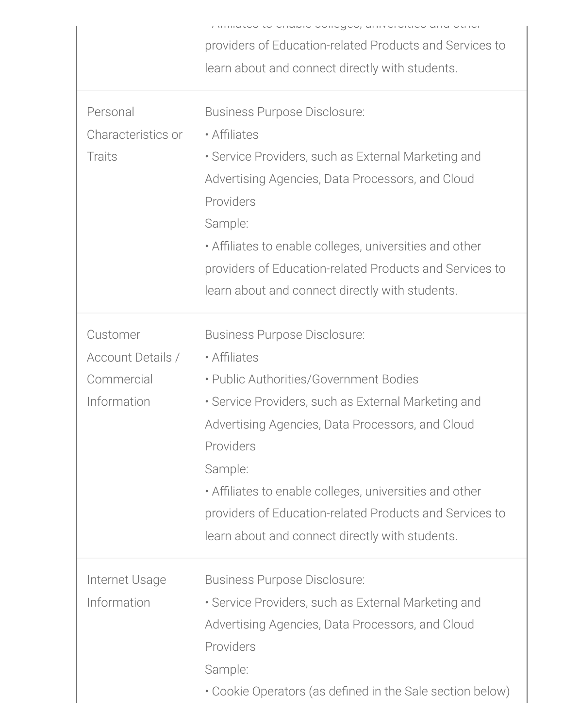|                          | miniquo to chapic concyce, annicronice and other          |
|--------------------------|-----------------------------------------------------------|
|                          | providers of Education-related Products and Services to   |
|                          | learn about and connect directly with students.           |
|                          |                                                           |
| Personal                 | <b>Business Purpose Disclosure:</b>                       |
| Characteristics or       | • Affiliates                                              |
| <b>Traits</b>            | • Service Providers, such as External Marketing and       |
|                          | Advertising Agencies, Data Processors, and Cloud          |
|                          | Providers                                                 |
|                          |                                                           |
|                          | Sample:                                                   |
|                          | • Affiliates to enable colleges, universities and other   |
|                          | providers of Education-related Products and Services to   |
|                          | learn about and connect directly with students.           |
| Customer                 | Business Purpose Disclosure:                              |
|                          |                                                           |
| <b>Account Details /</b> | • Affiliates                                              |
| Commercial               | • Public Authorities/Government Bodies                    |
| Information              | · Service Providers, such as External Marketing and       |
|                          | Advertising Agencies, Data Processors, and Cloud          |
|                          | Providers                                                 |
|                          | Sample:                                                   |
|                          | • Affiliates to enable colleges, universities and other   |
|                          | providers of Education-related Products and Services to   |
|                          | learn about and connect directly with students.           |
| Internet Usage           | Business Purpose Disclosure:                              |
| Information              |                                                           |
|                          | • Service Providers, such as External Marketing and       |
|                          | Advertising Agencies, Data Processors, and Cloud          |
|                          | Providers                                                 |
|                          | Sample:                                                   |
|                          | • Cookie Operators (as defined in the Sale section below) |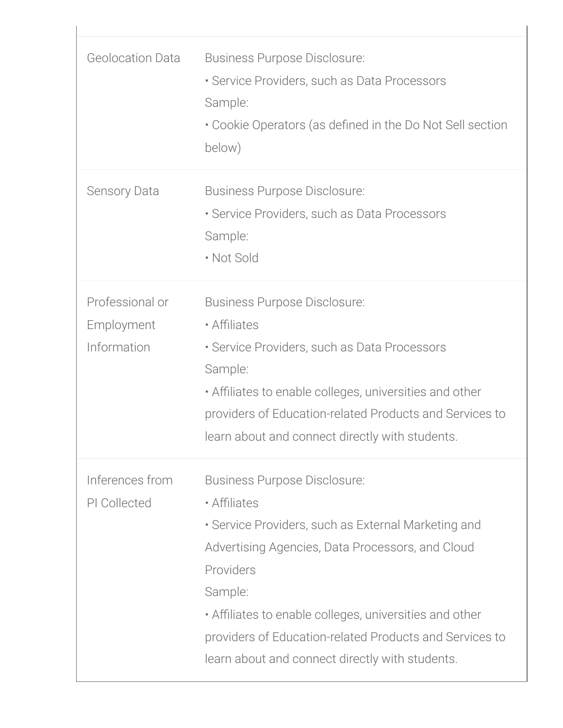| <b>Geolocation Data</b>                      | <b>Business Purpose Disclosure:</b><br>• Service Providers, such as Data Processors<br>Sample:<br>• Cookie Operators (as defined in the Do Not Sell section<br>below)                                                                                                                                                                                    |
|----------------------------------------------|----------------------------------------------------------------------------------------------------------------------------------------------------------------------------------------------------------------------------------------------------------------------------------------------------------------------------------------------------------|
| <b>Sensory Data</b>                          | Business Purpose Disclosure:<br>• Service Providers, such as Data Processors<br>Sample:<br>• Not Sold                                                                                                                                                                                                                                                    |
| Professional or<br>Employment<br>Information | <b>Business Purpose Disclosure:</b><br>• Affiliates<br>• Service Providers, such as Data Processors<br>Sample:<br>• Affiliates to enable colleges, universities and other<br>providers of Education-related Products and Services to<br>learn about and connect directly with students.                                                                  |
| Inferences from<br>PI Collected              | Business Purpose Disclosure:<br>• Affiliates<br>• Service Providers, such as External Marketing and<br>Advertising Agencies, Data Processors, and Cloud<br>Providers<br>Sample:<br>• Affiliates to enable colleges, universities and other<br>providers of Education-related Products and Services to<br>learn about and connect directly with students. |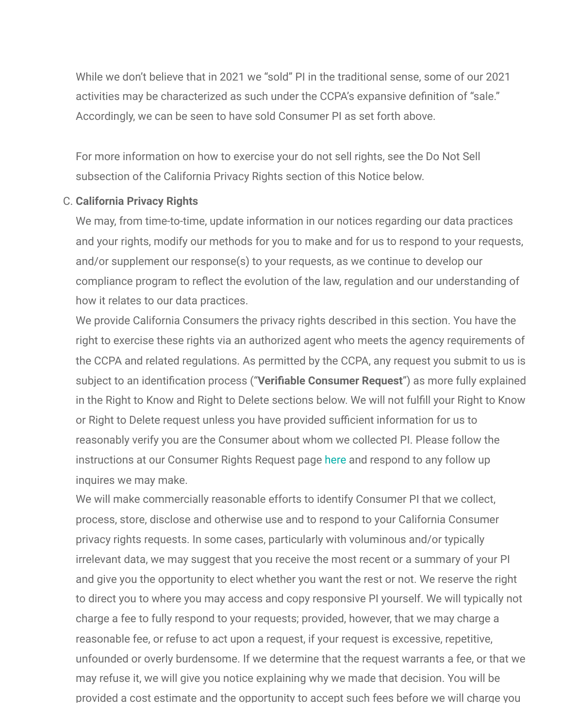While we don't believe that in 2021 we "sold" PI in the traditional sense, some of our 2021 activities may be characterized as such under the CCPA's expansive definition of "sale." Accordingly, we can be seen to have sold Consumer PI as set forth above.

For more information on how to exercise your do not sell rights, see the Do Not Sell subsection of the California Privacy Rights section of this Notice below.

#### <span id="page-9-0"></span>C. **California Privacy Rights**

We may, from time-to-time, update information in our notices regarding our data practices and your rights, modify our methods for you to make and for us to respond to your requests, and/or supplement our response(s) to your requests, as we continue to develop our compliance program to reflect the evolution of the law, regulation and our understanding of how it relates to our data practices.

We provide California Consumers the privacy rights described in this section. You have the right to exercise these rights via an authorized agent who meets the agency requirements of the CCPA and related regulations. As permitted by the CCPA, any request you submit to us is subject to an identification process ("**Verifiable Consumer Request**") as more fully explained in the Right to Know and Right to Delete sections below. We will not fulfill your Right to Know or Right to Delete request unless you have provided sufficient information for us to reasonably verify you are the Consumer about whom we collected PI. Please follow the instructions at our Consumer Rights Request page [here](https://privacyportal.onetrust.com/webform/b5288d89-90b2-4701-a997-7baf96b98d34/d07f1e34-ec3f-411a-8d2b-e941a386dda8) and respond to any follow up inquires we may make.

We will make commercially reasonable efforts to identify Consumer PI that we collect, process, store, disclose and otherwise use and to respond to your California Consumer privacy rights requests. In some cases, particularly with voluminous and/or typically irrelevant data, we may suggest that you receive the most recent or a summary of your PI and give you the opportunity to elect whether you want the rest or not. We reserve the right to direct you to where you may access and copy responsive PI yourself. We will typically not charge a fee to fully respond to your requests; provided, however, that we may charge a reasonable fee, or refuse to act upon a request, if your request is excessive, repetitive, unfounded or overly burdensome. If we determine that the request warrants a fee, or that we may refuse it, we will give you notice explaining why we made that decision. You will be provided a cost estimate and the opportunity to accept such fees before we will charge you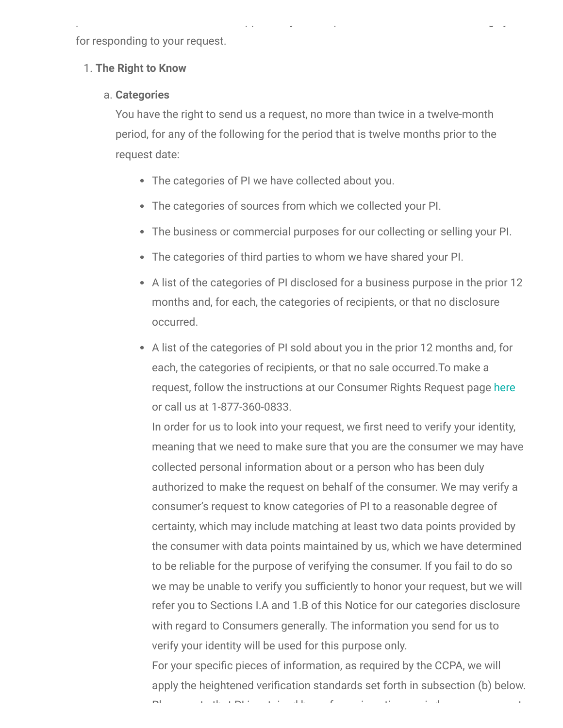for responding to your request.

#### <span id="page-10-0"></span>1. **The Right to Know**

#### <span id="page-10-1"></span>a. **Categories**

You have the right to send us a request, no more than twice in a twelve-month period, for any of the following for the period that is twelve months prior to the request date:

p pp y p g y

- The categories of PI we have collected about you.
- The categories of sources from which we collected your PI.
- The business or commercial purposes for our collecting or selling your PI.
- The categories of third parties to whom we have shared your PI.
- A list of the categories of PI disclosed for a business purpose in the prior 12 months and, for each, the categories of recipients, or that no disclosure occurred.
- A list of the categories of PI sold about you in the prior 12 months and, for each, the categories of recipients, or that no sale occurred.To make a request, follow the instructions at our Consumer Rights Request page [here](https://privacyportal.onetrust.com/webform/b5288d89-90b2-4701-a997-7baf96b98d34/d07f1e34-ec3f-411a-8d2b-e941a386dda8) or call us at 1-877-360-0833.

In order for us to look into your request, we first need to verify your identity, meaning that we need to make sure that you are the consumer we may have collected personal information about or a person who has been duly authorized to make the request on behalf of the consumer. We may verify a consumer's request to know categories of PI to a reasonable degree of certainty, which may include matching at least two data points provided by the consumer with data points maintained by us, which we have determined to be reliable for the purpose of verifying the consumer. If you fail to do so we may be unable to verify you sufficiently to honor your request, but we will refer you to Sections I.A and 1.B of this Notice for our categories disclosure with regard to Consumers generally. The information you send for us to verify your identity will be used for this purpose only.

For your specific pieces of information, as required by the CCPA, we will apply the heightened verification standards set forth in subsection (b) below.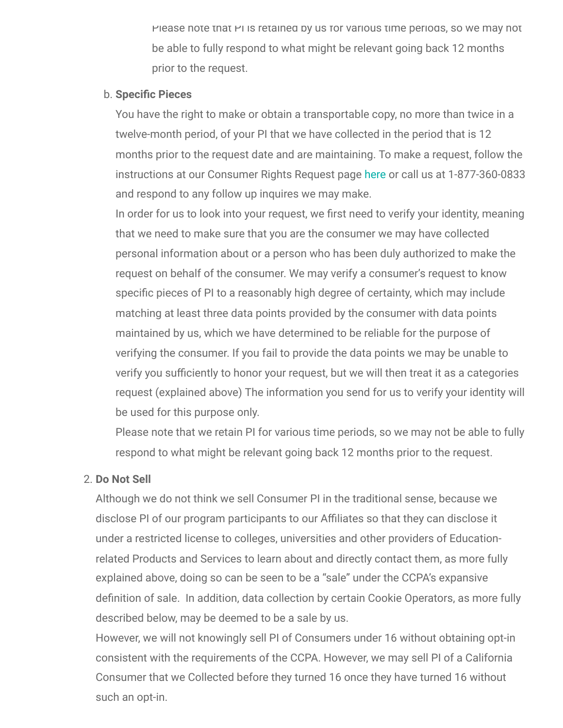Please note that PI is retained by us for various time periods, so we may not be able to fully respond to what might be relevant going back 12 months prior to the request.

#### <span id="page-11-0"></span>b. **Specific Pieces**

You have the right to make or obtain a transportable copy, no more than twice in a twelve-month period, of your PI that we have collected in the period that is 12 months prior to the request date and are maintaining. To make a request, follow the instructions at our Consumer Rights Request page [here](https://privacyportal.onetrust.com/webform/b5288d89-90b2-4701-a997-7baf96b98d34/d07f1e34-ec3f-411a-8d2b-e941a386dda8) or call us at 1-877-360-0833 and respond to any follow up inquires we may make.

In order for us to look into your request, we first need to verify your identity, meaning that we need to make sure that you are the consumer we may have collected personal information about or a person who has been duly authorized to make the request on behalf of the consumer. We may verify a consumer's request to know specific pieces of PI to a reasonably high degree of certainty, which may include matching at least three data points provided by the consumer with data points maintained by us, which we have determined to be reliable for the purpose of verifying the consumer. If you fail to provide the data points we may be unable to verify you sufficiently to honor your request, but we will then treat it as a categories request (explained above) The information you send for us to verify your identity will be used for this purpose only.

Please note that we retain PI for various time periods, so we may not be able to fully respond to what might be relevant going back 12 months prior to the request.

# <span id="page-11-1"></span>2. **Do Not Sell**

Although we do not think we sell Consumer PI in the traditional sense, because we disclose PI of our program participants to our Affiliates so that they can disclose it under a restricted license to colleges, universities and other providers of Educationrelated Products and Services to learn about and directly contact them, as more fully explained above, doing so can be seen to be a "sale" under the CCPA's expansive definition of sale. In addition, data collection by certain Cookie Operators, as more fully described below, may be deemed to be a sale by us.

However, we will not knowingly sell PI of Consumers under 16 without obtaining opt-in consistent with the requirements of the CCPA. However, we may sell PI of a California Consumer that we Collected before they turned 16 once they have turned 16 without such an opt-in.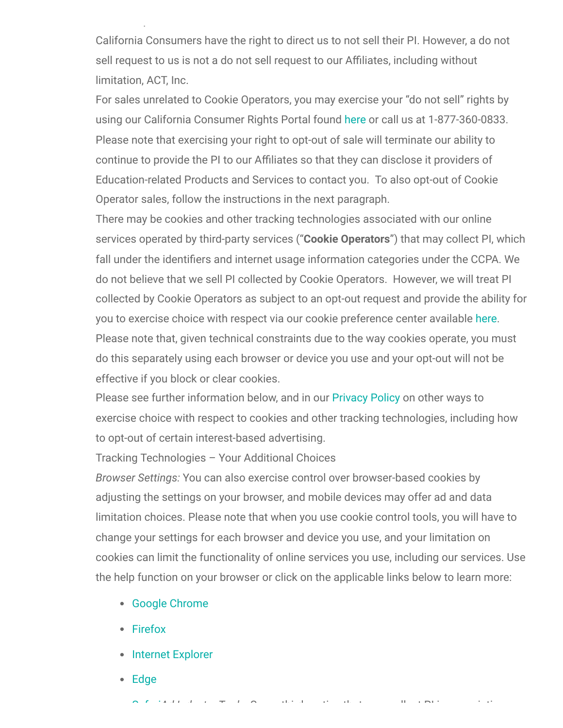California Consumers have the right to direct us to not sell their PI. However, a do not sell request to us is not a do not sell request to our Affiliates, including without limitation, ACT, Inc.

For sales unrelated to Cookie Operators, you may exercise your "do not sell" rights by using our California Consumer Rights Portal found [here](https://privacyportal.onetrust.com/webform/b5288d89-90b2-4701-a997-7baf96b98d34/d07f1e34-ec3f-411a-8d2b-e941a386dda8) or call us at 1-877-360-0833. Please note that exercising your right to opt-out of sale will terminate our ability to continue to provide the PI to our Affiliates so that they can disclose it providers of Education-related Products and Services to contact you. To also opt-out of Cookie Operator sales, follow the instructions in the next paragraph.

There may be cookies and other tracking technologies associated with our online services operated by third-party services ("**Cookie Operators**") that may collect PI, which fall under the identifiers and internet usage information categories under the CCPA. We do not believe that we sell PI collected by Cookie Operators. However, we will treat PI collected by Cookie Operators as subject to an opt-out request and provide the ability for you to exercise choice with respect via our cookie preference center available [here.](https://privacyportal.onetrust.com/webform/b5288d89-90b2-4701-a997-7baf96b98d34/d07f1e34-ec3f-411a-8d2b-e941a386dda8) Please note that, given technical constraints due to the way cookies operate, you must do this separately using each browser or device you use and your opt-out will not be effective if you block or clear cookies.

Please see further information below, and in our [Privacy Policy](https://encourageme.com/privacy-policy/) on other ways to exercise choice with respect to cookies and other tracking technologies, including how to opt-out of certain interest-based advertising.

Tracking Technologies – Your Additional Choices

*Browser Settings:* You can also exercise control over browser-based cookies by adjusting the settings on your browser, and mobile devices may offer ad and data limitation choices. Please note that when you use cookie control tools, you will have to change your settings for each browser and device you use, and your limitation on cookies can limit the functionality of online services you use, including our services. Use the help function on your browser or click on the applicable links below to learn more:

- [Google Chrome](https://support.google.com/chrome/answer/95647?co=GENIE.Platform%3DDesktop&hl=en)
- [Firefox](https://support.mozilla.org/en-US/kb/enhanced-tracking-protection-firefox-desktop?redirectslug=enable-and-disable-cookies-website-preferences&redirectlocale=en-US)

p

- [Internet Explorer](https://support.microsoft.com/en-gb/windows/delete-and-manage-cookies-168dab11-0753-043d-7c16-ede5947fc64d)
- [Edge](https://support.microsoft.com/en-us/microsoft-edge/delete-cookies-in-microsoft-edge-63947406-40ac-c3b8-57b9-2a946a29ae09)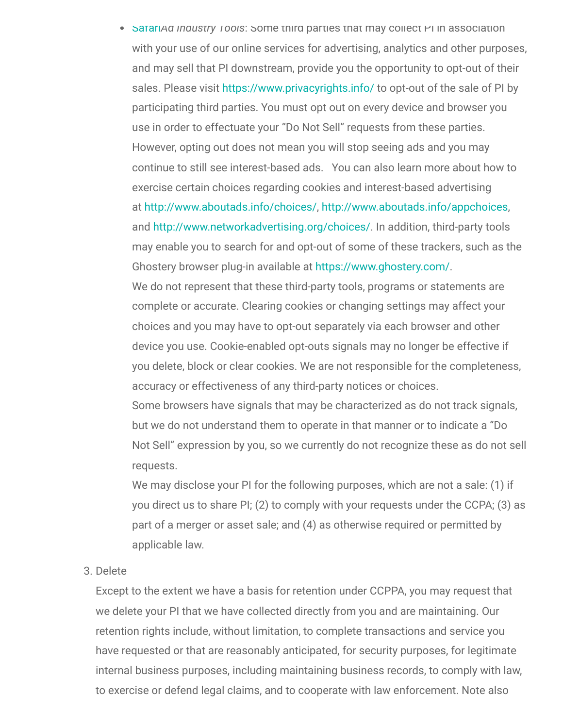• [Safari](https://support.apple.com/en-gb/HT201265)*Ad Industry Tools*: Some third parties that may collect PI in association with your use of our online services for advertising, analytics and other purposes, and may sell that PI downstream, provide you the opportunity to opt-out of their sales. Please visit <https://www.privacyrights.info/> to opt-out of the sale of PI by participating third parties. You must opt out on every device and browser you use in order to effectuate your "Do Not Sell" requests from these parties. However, opting out does not mean you will stop seeing ads and you may continue to still see interest-based ads. You can also learn more about how to exercise certain choices regarding cookies and interest-based advertising at [http://www.aboutads.info/choices/,](http://www.aboutads.info/choices/) [http://www.aboutads.info/appchoices,](http://www.aboutads.info/appchoices) and [http://www.networkadvertising.org/choices/.](http://www.networkadvertising.org/choices/) In addition, third-party tools may enable you to search for and opt-out of some of these trackers, such as the Ghostery browser plug-in available at<https://www.ghostery.com/>. We do not represent that these third-party tools, programs or statements are complete or accurate. Clearing cookies or changing settings may affect your choices and you may have to opt-out separately via each browser and other device you use. Cookie-enabled opt-outs signals may no longer be effective if you delete, block or clear cookies. We are not responsible for the completeness, accuracy or effectiveness of any third-party notices or choices. Some browsers have signals that may be characterized as do not track signals, but we do not understand them to operate in that manner or to indicate a "Do Not Sell" expression by you, so we currently do not recognize these as do not sell

We may disclose your PI for the following purposes, which are not a sale: (1) if you direct us to share PI; (2) to comply with your requests under the CCPA; (3) as part of a merger or asset sale; and (4) as otherwise required or permitted by applicable law.

<span id="page-13-0"></span>3. Delete

requests.

Except to the extent we have a basis for retention under CCPPA, you may request that we delete your PI that we have collected directly from you and are maintaining. Our retention rights include, without limitation, to complete transactions and service you have requested or that are reasonably anticipated, for security purposes, for legitimate internal business purposes, including maintaining business records, to comply with law, to exercise or defend legal claims, and to cooperate with law enforcement. Note also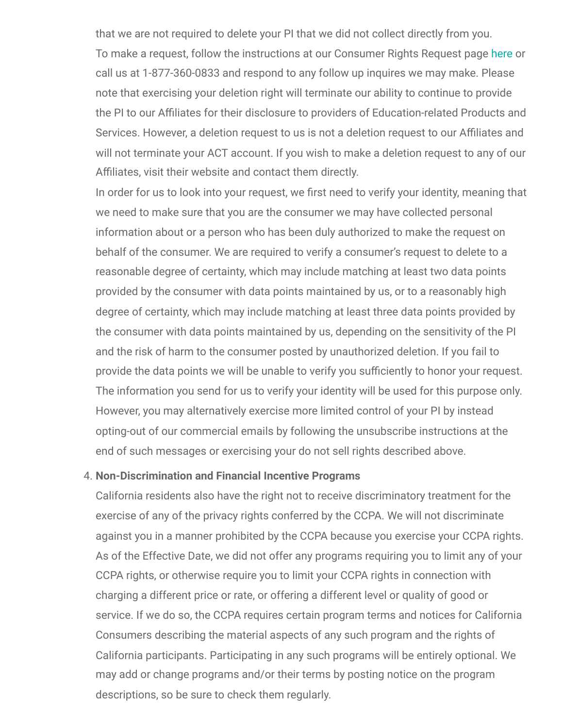that we are not required to delete your PI that we did not collect directly from you. To make a request, follow the instructions at our Consumer Rights Request page [here](https://privacyportal.onetrust.com/webform/b5288d89-90b2-4701-a997-7baf96b98d34/d07f1e34-ec3f-411a-8d2b-e941a386dda8) or call us at 1-877-360-0833 and respond to any follow up inquires we may make. Please note that exercising your deletion right will terminate our ability to continue to provide the PI to our Affiliates for their disclosure to providers of Education-related Products and Services. However, a deletion request to us is not a deletion request to our Affiliates and will not terminate your ACT account. If you wish to make a deletion request to any of our Affiliates, visit their website and contact them directly.

In order for us to look into your request, we first need to verify your identity, meaning that we need to make sure that you are the consumer we may have collected personal information about or a person who has been duly authorized to make the request on behalf of the consumer. We are required to verify a consumer's request to delete to a reasonable degree of certainty, which may include matching at least two data points provided by the consumer with data points maintained by us, or to a reasonably high degree of certainty, which may include matching at least three data points provided by the consumer with data points maintained by us, depending on the sensitivity of the PI and the risk of harm to the consumer posted by unauthorized deletion. If you fail to provide the data points we will be unable to verify you sufficiently to honor your request. The information you send for us to verify your identity will be used for this purpose only. However, you may alternatively exercise more limited control of your PI by instead opting-out of our commercial emails by following the unsubscribe instructions at the end of such messages or exercising your do not sell rights described above.

#### <span id="page-14-0"></span>4. **Non-Discrimination and Financial Incentive Programs**

California residents also have the right not to receive discriminatory treatment for the exercise of any of the privacy rights conferred by the CCPA. We will not discriminate against you in a manner prohibited by the CCPA because you exercise your CCPA rights. As of the Effective Date, we did not offer any programs requiring you to limit any of your CCPA rights, or otherwise require you to limit your CCPA rights in connection with charging a different price or rate, or offering a different level or quality of good or service. If we do so, the CCPA requires certain program terms and notices for California Consumers describing the material aspects of any such program and the rights of California participants. Participating in any such programs will be entirely optional. We may add or change programs and/or their terms by posting notice on the program descriptions, so be sure to check them regularly.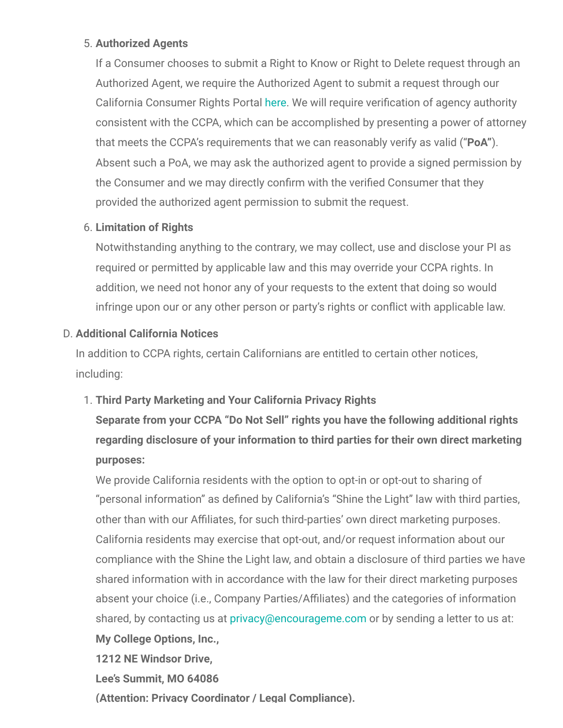# <span id="page-15-0"></span>5. **Authorized Agents**

If a Consumer chooses to submit a Right to Know or Right to Delete request through an Authorized Agent, we require the Authorized Agent to submit a request through our California Consumer Rights Portal [here.](https://privacyportal.onetrust.com/webform/b5288d89-90b2-4701-a997-7baf96b98d34/d07f1e34-ec3f-411a-8d2b-e941a386dda8) We will require verification of agency authority consistent with the CCPA, which can be accomplished by presenting a power of attorney that meets the CCPA's requirements that we can reasonably verify as valid ("**PoA"**). Absent such a PoA, we may ask the authorized agent to provide a signed permission by the Consumer and we may directly confirm with the verified Consumer that they provided the authorized agent permission to submit the request.

# <span id="page-15-1"></span>6. **Limitation of Rights**

Notwithstanding anything to the contrary, we may collect, use and disclose your PI as required or permitted by applicable law and this may override your CCPA rights. In addition, we need not honor any of your requests to the extent that doing so would infringe upon our or any other person or party's rights or conflict with applicable law.

# <span id="page-15-2"></span>D. **Additional California Notices**

In addition to CCPA rights, certain Californians are entitled to certain other notices, including:

# <span id="page-15-3"></span>1. **Third Party Marketing and Your California Privacy Rights**

**Separate from your CCPA "Do Not Sell" rights you have the following additional rights regarding disclosure of your information to third parties for their own direct marketing purposes:**

We provide California residents with the option to opt-in or opt-out to sharing of "personal information" as defined by California's "Shine the Light" law with third parties, other than with our Affiliates, for such third-parties' own direct marketing purposes. California residents may exercise that opt-out, and/or request information about our compliance with the Shine the Light law, and obtain a disclosure of third parties we have shared information with in accordance with the law for their direct marketing purposes absent your choice (i.e., Company Parties/Affiliates) and the categories of information shared, by contacting us at [privacy@encourageme.com](mailto:contact@encourageme.com) or by sending a letter to us at: **My College Options, Inc.,**

**1212 NE Windsor Drive,**

**Lee's Summit, MO 64086**

**(Attention: Privacy Coordinator / Legal Compliance).**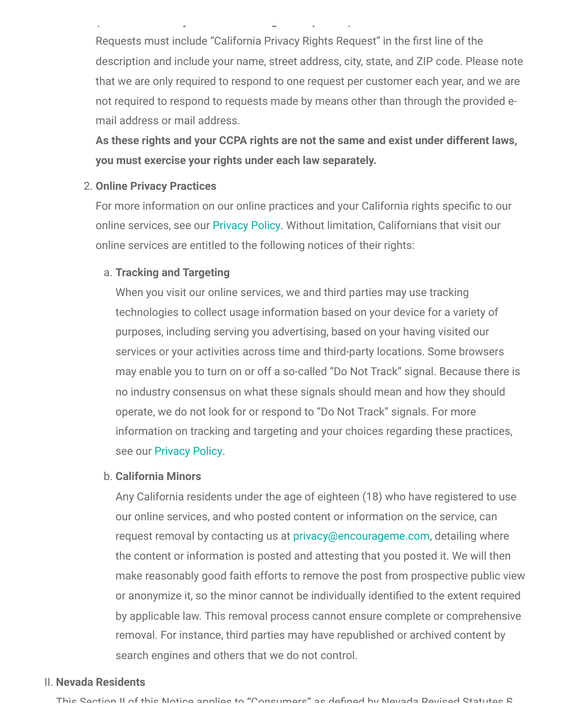Requests must include "California Privacy Rights Request" in the first line of the description and include your name, street address, city, state, and ZIP code. Please note that we are only required to respond to one request per customer each year, and we are not required to respond to requests made by means other than through the provided email address or mail address.

**( y g p )**

**As these rights and your CCPA rights are not the same and exist under different laws, you must exercise your rights under each law separately.**

#### <span id="page-16-0"></span>2. **Online Privacy Practices**

For more information on our online practices and your California rights specific to our online services, see our [Privacy Policy](https://encourageme.com/privacy-policy/). Without limitation, Californians that visit our online services are entitled to the following notices of their rights:

#### <span id="page-16-1"></span>a. **Tracking and Targeting**

When you visit our online services, we and third parties may use tracking technologies to collect usage information based on your device for a variety of purposes, including serving you advertising, based on your having visited our services or your activities across time and third-party locations. Some browsers may enable you to turn on or off a so-called "Do Not Track" signal. Because there is no industry consensus on what these signals should mean and how they should operate, we do not look for or respond to "Do Not Track" signals. For more information on tracking and targeting and your choices regarding these practices, see our [Privacy Policy](https://encourageme.com/privacy-policy/).

#### <span id="page-16-2"></span>b. **California Minors**

Any California residents under the age of eighteen (18) who have registered to use our online services, and who posted content or information on the service, can request removal by contacting us at [privacy@encourageme.com,](mailto:privacy@encourageme.com) detailing where the content or information is posted and attesting that you posted it. We will then make reasonably good faith efforts to remove the post from prospective public view or anonymize it, so the minor cannot be individually identified to the extent required by applicable law. This removal process cannot ensure complete or comprehensive removal. For instance, third parties may have republished or archived content by search engines and others that we do not control.

#### <span id="page-16-3"></span>II. **Nevada Residents**